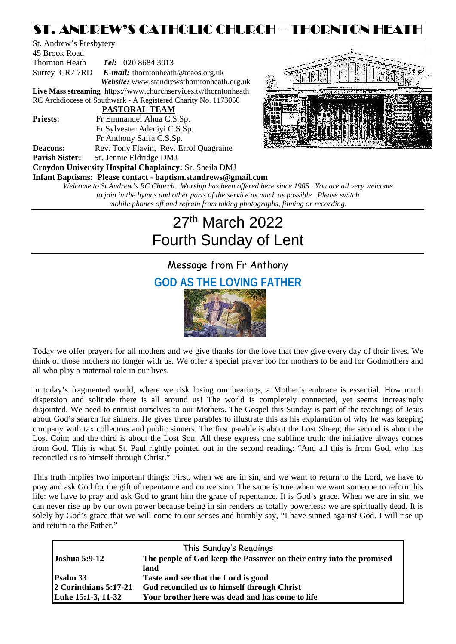### ST. ANDREW'S CATHOLIC CHURCH – THORNTON HEATH

St. Andrew's Presbytery 45 Brook Road Thornton Heath *Tel:* 020 8684 3013 Surrey CR7 7RD *E-mail:* [thorntonheath@rcaos.org.uk](mailto:thorntonheath@rcaos.org.uk) *Website:* www.standrewsthorntonheath.org.uk **Live Mass streaming** <https://www.churchservices.tv/thorntonheath> RC Archdiocese of Southwark - A Registered Charity No. 1173050  **PASTORAL TEAM Priests:** Fr Emmanuel Ahua C.S.Sp. Fr Sylvester Adeniyi C.S.Sp. Fr Anthony Saffa C.S.Sp. **Deacons:** Rev. Tony Flavin, Rev. Errol Quagraine **Parish Sister:** Sr. Jennie Eldridge DMJ **Croydon University Hospital Chaplaincy:** Sr. Sheila DMJ **Infant Baptisms: Please contact - baptism.standrews@gmail.com**



*Welcome to St Andrew's RC Church. Worship has been offered here since 1905. You are all very welcome to join in the hymns and other parts of the service as much as possible. Please switch mobile phones off and refrain from taking photographs, filming or recording.*

# 27th March 2022 Fourth Sunday of Lent

## Message from Fr Anthony **GOD AS THE LOVING FATHER**



Today we offer prayers for all mothers and we give thanks for the love that they give every day of their lives. We think of those mothers no longer with us. We offer a special prayer too for mothers to be and for Godmothers and all who play a maternal role in our lives.

In today's fragmented world, where we risk losing our bearings, a Mother's embrace is essential. How much dispersion and solitude there is all around us! The world is completely connected, yet seems increasingly disjointed. We need to entrust ourselves to our Mothers. The Gospel this Sunday is part of the teachings of Jesus about God's search for sinners. He gives three parables to illustrate this as his explanation of why he was keeping company with tax collectors and public sinners. The first parable is about the Lost Sheep; the second is about the Lost Coin; and the third is about the Lost Son. All these express one sublime truth: the initiative always comes from God. This is what St. Paul rightly pointed out in the second reading: "And all this is from God, who has reconciled us to himself through Christ."

This truth implies two important things: First, when we are in sin, and we want to return to the Lord, we have to pray and ask God for the gift of repentance and conversion. The same is true when we want someone to reform his life: we have to pray and ask God to grant him the grace of repentance. It is God's grace. When we are in sin, we can never rise up by our own power because being in sin renders us totally powerless: we are spiritually dead. It is solely by God's grace that we will come to our senses and humbly say, "I have sinned against God. I will rise up and return to the Father."

| This Sunday's Readings  |                                                                      |  |  |  |
|-------------------------|----------------------------------------------------------------------|--|--|--|
| <b>Joshua 5:9-12</b>    | The people of God keep the Passover on their entry into the promised |  |  |  |
|                         | land                                                                 |  |  |  |
| Psalm 33                | Taste and see that the Lord is good                                  |  |  |  |
| $2$ Corinthians 5:17-21 | God reconciled us to himself through Christ                          |  |  |  |
| Luke 15:1-3, 11-32      | Your brother here was dead and has come to life                      |  |  |  |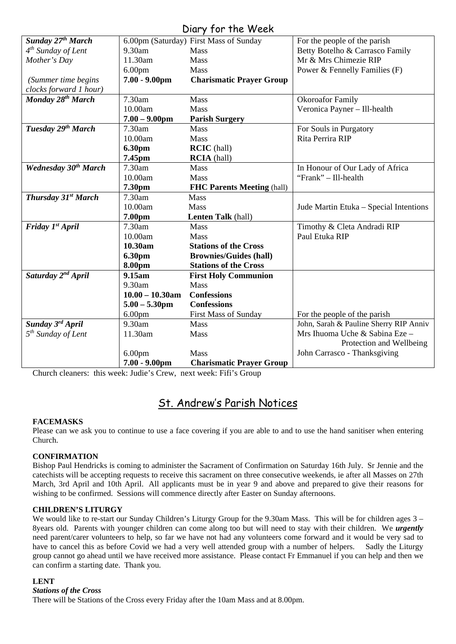| Diary for the Week             |                                        |                                   |                                        |  |
|--------------------------------|----------------------------------------|-----------------------------------|----------------------------------------|--|
| Sunday 27 <sup>th</sup> March  | 6.00pm (Saturday) First Mass of Sunday |                                   | For the people of the parish           |  |
| $4th$ Sunday of Lent           | 9.30am                                 | Mass                              | Betty Botelho & Carrasco Family        |  |
| Mother's Day                   | 11.30am                                | Mass                              | Mr & Mrs Chimezie RIP                  |  |
|                                | 6.00 <sub>pm</sub>                     | Mass                              | Power & Fennelly Families (F)          |  |
| (Summer time begins            | $7.00 - 9.00$ pm                       | <b>Charismatic Prayer Group</b>   |                                        |  |
| clocks forward 1 hour)         |                                        |                                   |                                        |  |
| Monday 28 <sup>th</sup> March  | 7.30am                                 | <b>Mass</b>                       | <b>Okoroafor Family</b>                |  |
|                                | 10.00am                                | <b>Mass</b>                       | Veronica Payner - Ill-health           |  |
|                                | $7.00 - 9.00$ pm                       | <b>Parish Surgery</b>             |                                        |  |
| Tuesday 29 <sup>th</sup> March | 7.30am                                 | <b>Mass</b>                       | For Souls in Purgatory                 |  |
|                                | 10.00am                                | Mass                              | Rita Perrira RIP                       |  |
|                                | 6.30pm                                 | <b>RCIC</b> (hall)                |                                        |  |
|                                | 7.45pm                                 | <b>RCIA</b> (hall)                |                                        |  |
| <b>Wednesday 30th March</b>    | 7.30am                                 | Mass                              | In Honour of Our Lady of Africa        |  |
|                                | 10.00am                                | <b>Mass</b>                       | "Frank" - Ill-health                   |  |
|                                | 7.30pm                                 | <b>FHC Parents Meeting (hall)</b> |                                        |  |
| Thursday 31st March            | 7.30am                                 | <b>Mass</b>                       |                                        |  |
|                                | 10.00am                                | <b>Mass</b>                       | Jude Martin Etuka – Special Intentions |  |
|                                | 7.00pm                                 | Lenten Talk (hall)                |                                        |  |
| Friday 1st April               | 7.30am                                 | Mass                              | Timothy & Cleta Andradi RIP            |  |
|                                | 10.00am                                | <b>Mass</b>                       | Paul Etuka RIP                         |  |
|                                | 10.30am                                | <b>Stations of the Cross</b>      |                                        |  |
|                                | 6.30pm                                 | <b>Brownies/Guides (hall)</b>     |                                        |  |
|                                | 8.00pm                                 | <b>Stations of the Cross</b>      |                                        |  |
| Saturday 2 <sup>nd</sup> April | 9.15am                                 | <b>First Holy Communion</b>       |                                        |  |
|                                | 9.30am                                 | Mass                              |                                        |  |
|                                | $10.00 - 10.30$ am                     | <b>Confessions</b>                |                                        |  |
|                                | $5.00 - 5.30$ pm                       | <b>Confessions</b>                |                                        |  |
|                                | 6.00 <sub>pm</sub>                     | First Mass of Sunday              | For the people of the parish           |  |
| Sunday 3 <sup>rd</sup> April   | 9.30am                                 | <b>Mass</b>                       | John, Sarah & Pauline Sherry RIP Anniv |  |
| $5th$ Sunday of Lent           | 11.30am                                | Mass                              | Mrs Ihuoma Uche & Sabina Eze -         |  |
|                                |                                        |                                   | Protection and Wellbeing               |  |
|                                | 6.00 <sub>pm</sub>                     | <b>Mass</b>                       | John Carrasco - Thanksgiving           |  |
|                                | $7.00 - 9.00$ pm                       | <b>Charismatic Prayer Group</b>   |                                        |  |

Church cleaners: this week: Judie's Crew, next week: Fifi's Group

### St. Andrew's Parish Notices

#### **FACEMASKS**

Please can we ask you to continue to use a face covering if you are able to and to use the hand sanitiser when entering Church.

#### **CONFIRMATION**

Bishop Paul Hendricks is coming to administer the Sacrament of Confirmation on Saturday 16th July. Sr Jennie and the catechists will be accepting requests to receive this sacrament on three consecutive weekends, ie after all Masses on 27th March, 3rd April and 10th April. All applicants must be in year 9 and above and prepared to give their reasons for wishing to be confirmed. Sessions will commence directly after Easter on Sunday afternoons.

#### **CHILDREN'S LITURGY**

We would like to re-start our Sunday Children's Liturgy Group for the 9.30am Mass. This will be for children ages 3 – 8years old. Parents with younger children can come along too but will need to stay with their children. We *urgently* need parent/carer volunteers to help, so far we have not had any volunteers come forward and it would be very sad to have to cancel this as before Covid we had a very well attended group with a number of helpers. Sadly the Liturgy group cannot go ahead until we have received more assistance. Please contact Fr Emmanuel if you can help and then we can confirm a starting date. Thank you.

#### **LENT**

#### *Stations of the Cross*

There will be Stations of the Cross every Friday after the 10am Mass and at 8.00pm.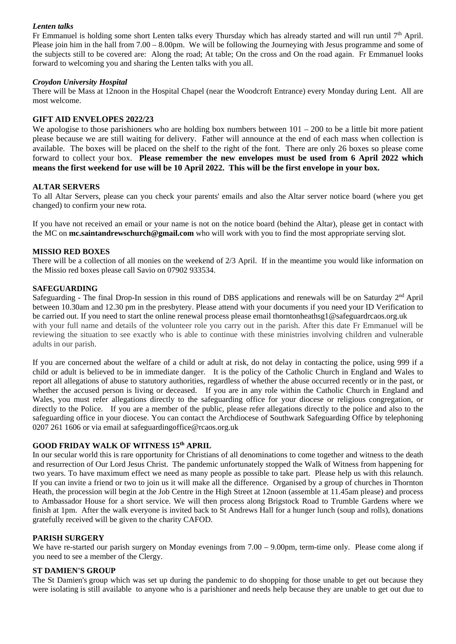#### *Lenten talks*

Fr Emmanuel is holding some short Lenten talks every Thursday which has already started and will run until  $7<sup>th</sup>$  April. Please join him in the hall from 7.00 – 8.00pm. We will be following the Journeying with Jesus programme and some of the subjects still to be covered are: Along the road; At table; On the cross and On the road again. Fr Emmanuel looks forward to welcoming you and sharing the Lenten talks with you all.

#### *Croydon University Hospital*

There will be Mass at 12noon in the Hospital Chapel (near the Woodcroft Entrance) every Monday during Lent. All are most welcome.

#### **GIFT AID ENVELOPES 2022/23**

We apologise to those parishioners who are holding box numbers between  $101 - 200$  to be a little bit more patient please because we are still waiting for delivery. Father will announce at the end of each mass when collection is available. The boxes will be placed on the shelf to the right of the font. There are only 26 boxes so please come forward to collect your box. **Please remember the new envelopes must be used from 6 April 2022 which means the first weekend for use will be 10 April 2022. This will be the first envelope in your box.** 

#### **ALTAR SERVERS**

To all Altar Servers, please can you check your parents' emails and also the Altar server notice board (where you get changed) to confirm your new rota.

If you have not received an email or your name is not on the notice board (behind the Altar), please get in contact with the MC on **[mc.saintandrewschurch@gmail.com](mailto:mc.saintandrewschurch@gmail.com)** who will work with you to find the most appropriate serving slot.

#### **MISSIO RED BOXES**

There will be a collection of all monies on the weekend of 2/3 April. If in the meantime you would like information on the Missio red boxes please call Savio on 07902 933534.

#### **SAFEGUARDING**

Safeguarding - The final Drop-In session in this round of DBS applications and renewals will be on Saturday  $2<sup>nd</sup>$  April between 10.30am and 12.30 pm in the presbytery. Please attend with your documents if you need your ID Verification to be carried out. If you need to start the online renewal process please email [thorntonheathsg1@safeguardrcaos.org.uk](mailto:thorntonheathsg1@safeguardrcaos.org.uk) with your full name and details of the volunteer role you carry out in the parish. After this date Fr Emmanuel will be reviewing the situation to see exactly who is able to continue with these ministries involving children and vulnerable adults in our parish.

If you are concerned about the welfare of a child or adult at risk, do not delay in contacting the police, using 999 if a child or adult is believed to be in immediate danger. It is the policy of the Catholic Church in England and Wales to report all allegations of abuse to statutory authorities, regardless of whether the abuse occurred recently or in the past, or whether the accused person is living or deceased. If you are in any role within the Catholic Church in England and Wales, you must refer allegations directly to the safeguarding office for your diocese or religious congregation, or directly to the Police. If you are a member of the public, please refer allegations directly to the police and also to the safeguarding office in your diocese. You can contact the Archdiocese of Southwark Safeguarding Office by telephoning 0207 261 1606 or via email at [safeguardingoffice@rcaos.org.uk](mailto:safeguardingoffice@rcaos.org.uk)

#### **GOOD FRIDAY WALK OF WITNESS 15th APRIL**

In our secular world this is rare opportunity for Christians of all denominations to come together and witness to the death and resurrection of Our Lord Jesus Christ. The pandemic unfortunately stopped the Walk of Witness from happening for two years. To have maximum effect we need as many people as possible to take part. Please help us with this relaunch. If you can invite a friend or two to join us it will make all the difference. Organised by a group of churches in Thornton Heath, the procession will begin at the Job Centre in the High Street at 12noon (assemble at 11.45am please) and process to Ambassador House for a short service. We will then process along Brigstock Road to Trumble Gardens where we finish at 1pm. After the walk everyone is invited back to St Andrews Hall for a hunger lunch (soup and rolls), donations gratefully received will be given to the charity CAFOD.

#### **PARISH SURGERY**

We have re-started our parish surgery on Monday evenings from 7.00 – 9.00pm, term-time only. Please come along if you need to see a member of the Clergy.

#### **ST DAMIEN'S GROUP**

The St Damien's group which was set up during the pandemic to do shopping for those unable to get out because they were isolating is still available to anyone who is a parishioner and needs help because they are unable to get out due to